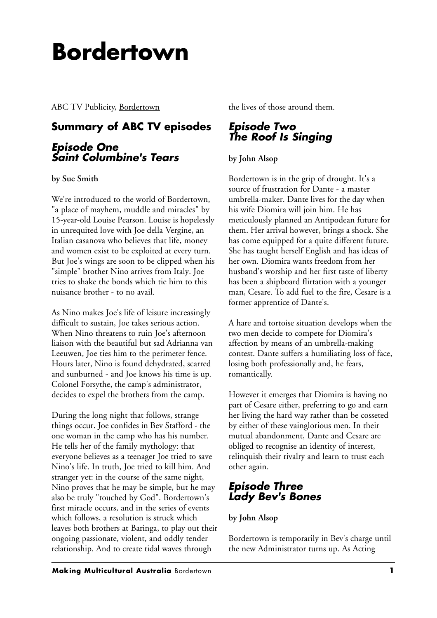# **Bordertown**

ABC TV Publicity, Bordertown

# **Summary of ABC TV episodes**

## *Episode One Saint Columbine's Tears*

**by Sue Smith**

We're introduced to the world of Bordertown, "a place of mayhem, muddle and miracles" by 15-year-old Louise Pearson. Louise is hopelessly in unrequited love with Joe della Vergine, an Italian casanova who believes that life, money and women exist to be exploited at every turn. But Joe's wings are soon to be clipped when his "simple" brother Nino arrives from Italy. Joe tries to shake the bonds which tie him to this nuisance brother - to no avail.

As Nino makes Joe's life of leisure increasingly difficult to sustain, Joe takes serious action. When Nino threatens to ruin Joe's afternoon liaison with the beautiful but sad Adrianna van Leeuwen, Joe ties him to the perimeter fence. Hours later, Nino is found dehydrated, scarred and sunburned - and Joe knows his time is up. Colonel Forsythe, the camp's administrator, decides to expel the brothers from the camp.

During the long night that follows, strange things occur. Joe confides in Bev Stafford - the one woman in the camp who has his number. He tells her of the family mythology: that everyone believes as a teenager Joe tried to save Nino's life. In truth, Joe tried to kill him. And stranger yet: in the course of the same night, Nino proves that he may be simple, but he may also be truly "touched by God". Bordertown's first miracle occurs, and in the series of events which follows, a resolution is struck which leaves both brothers at Baringa, to play out their ongoing passionate, violent, and oddly tender relationship. And to create tidal waves through

the lives of those around them.

# *Episode Two The Roof Is Singing*

#### **by John Alsop**

Bordertown is in the grip of drought. It's a source of frustration for Dante - a master umbrella-maker. Dante lives for the day when his wife Diomira will join him. He has meticulously planned an Antipodean future for them. Her arrival however, brings a shock. She has come equipped for a quite different future. She has taught herself English and has ideas of her own. Diomira wants freedom from her husband's worship and her first taste of liberty has been a shipboard flirtation with a younger man, Cesare. To add fuel to the fire, Cesare is a former apprentice of Dante's.

A hare and tortoise situation develops when the two men decide to compete for Diomira's affection by means of an umbrella-making contest. Dante suffers a humiliating loss of face, losing both professionally and, he fears, romantically.

However it emerges that Diomira is having no part of Cesare either, preferring to go and earn her living the hard way rather than be cosseted by either of these vainglorious men. In their mutual abandonment, Dante and Cesare are obliged to recognise an identity of interest, relinquish their rivalry and learn to trust each other again.

# *Episode Three Lady Bev's Bones*

## **by John Alsop**

Bordertown is temporarily in Bev's charge until the new Administrator turns up. As Acting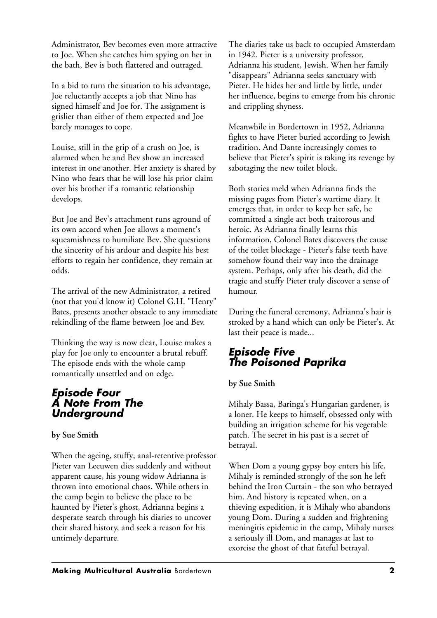Administrator, Bev becomes even more attractive to Joe. When she catches him spying on her in the bath, Bev is both flattered and outraged.

In a bid to turn the situation to his advantage, Joe reluctantly accepts a job that Nino has signed himself and Joe for. The assignment is grislier than either of them expected and Joe barely manages to cope.

Louise, still in the grip of a crush on Joe, is alarmed when he and Bev show an increased interest in one another. Her anxiety is shared by Nino who fears that he will lose his prior claim over his brother if a romantic relationship develops.

But Joe and Bev's attachment runs aground of its own accord when Joe allows a moment's squeamishness to humiliate Bev. She questions the sincerity of his ardour and despite his best efforts to regain her confidence, they remain at odds.

The arrival of the new Administrator, a retired (not that you'd know it) Colonel G.H. "Henry" Bates, presents another obstacle to any immediate rekindling of the flame between Joe and Bev.

Thinking the way is now clear, Louise makes a play for Joe only to encounter a brutal rebuff. The episode ends with the whole camp romantically unsettled and on edge.

### *Episode Four A Note From The Underground*

**by Sue Smith**

When the ageing, stuffy, anal-retentive professor Pieter van Leeuwen dies suddenly and without apparent cause, his young widow Adrianna is thrown into emotional chaos. While others in the camp begin to believe the place to be haunted by Pieter's ghost, Adrianna begins a desperate search through his diaries to uncover their shared history, and seek a reason for his untimely departure.

The diaries take us back to occupied Amsterdam in 1942. Pieter is a university professor, Adrianna his student, Jewish. When her family "disappears" Adrianna seeks sanctuary with Pieter. He hides her and little by little, under her influence, begins to emerge from his chronic and crippling shyness.

Meanwhile in Bordertown in 1952, Adrianna fights to have Pieter buried according to Jewish tradition. And Dante increasingly comes to believe that Pieter's spirit is taking its revenge by sabotaging the new toilet block.

Both stories meld when Adrianna finds the missing pages from Pieter's wartime diary. It emerges that, in order to keep her safe, he committed a single act both traitorous and heroic. As Adrianna finally learns this information, Colonel Bates discovers the cause of the toilet blockage - Pieter's false teeth have somehow found their way into the drainage system. Perhaps, only after his death, did the tragic and stuffy Pieter truly discover a sense of humour.

During the funeral ceremony, Adrianna's hair is stroked by a hand which can only be Pieter's. At last their peace is made...

# *Episode Five The Poisoned Paprika*

#### **by Sue Smith**

Mihaly Bassa, Baringa's Hungarian gardener, is a loner. He keeps to himself, obsessed only with building an irrigation scheme for his vegetable patch. The secret in his past is a secret of betrayal.

When Dom a young gypsy boy enters his life, Mihaly is reminded strongly of the son he left behind the Iron Curtain - the son who betrayed him. And history is repeated when, on a thieving expedition, it is Mihaly who abandons young Dom. During a sudden and frightening meningitis epidemic in the camp, Mihaly nurses a seriously ill Dom, and manages at last to exorcise the ghost of that fateful betrayal.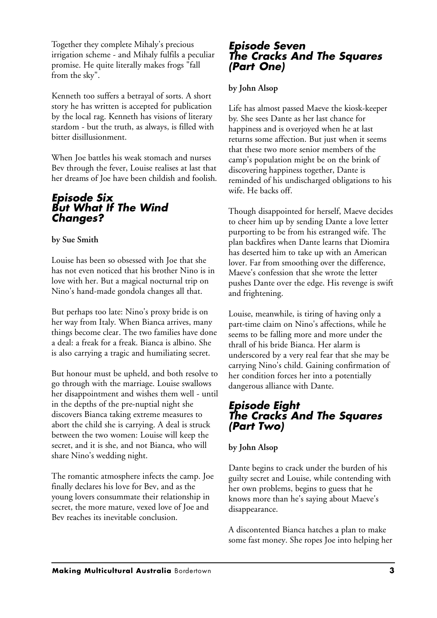Together they complete Mihaly's precious irrigation scheme - and Mihaly fulfils a peculiar promise. He quite literally makes frogs "fall from the sky".

Kenneth too suffers a betrayal of sorts. A short story he has written is accepted for publication by the local rag. Kenneth has visions of literary stardom - but the truth, as always, is filled with bitter disillusionment.

When Joe battles his weak stomach and nurses Bev through the fever, Louise realises at last that her dreams of Joe have been childish and foolish.

#### *Episode Six But What If The Wind Changes?*

#### **by Sue Smith**

Louise has been so obsessed with Joe that she has not even noticed that his brother Nino is in love with her. But a magical nocturnal trip on Nino's hand-made gondola changes all that.

But perhaps too late: Nino's proxy bride is on her way from Italy. When Bianca arrives, many things become clear. The two families have done a deal: a freak for a freak. Bianca is albino. She is also carrying a tragic and humiliating secret.

But honour must be upheld, and both resolve to go through with the marriage. Louise swallows her disappointment and wishes them well - until in the depths of the pre-nuptial night she discovers Bianca taking extreme measures to abort the child she is carrying. A deal is struck between the two women: Louise will keep the secret, and it is she, and not Bianca, who will share Nino's wedding night.

The romantic atmosphere infects the camp. Joe finally declares his love for Bev, and as the young lovers consummate their relationship in secret, the more mature, vexed love of Joe and Bev reaches its inevitable conclusion.

#### *Episode Seven The Cracks And The Squares (Part One)*

#### **by John Alsop**

Life has almost passed Maeve the kiosk-keeper by. She sees Dante as her last chance for happiness and is overjoyed when he at last returns some affection. But just when it seems that these two more senior members of the camp's population might be on the brink of discovering happiness together, Dante is reminded of his undischarged obligations to his wife. He backs off.

Though disappointed for herself, Maeve decides to cheer him up by sending Dante a love letter purporting to be from his estranged wife. The plan backfires when Dante learns that Diomira has deserted him to take up with an American lover. Far from smoothing over the difference, Maeve's confession that she wrote the letter pushes Dante over the edge. His revenge is swift and frightening.

Louise, meanwhile, is tiring of having only a part-time claim on Nino's affections, while he seems to be falling more and more under the thrall of his bride Bianca. Her alarm is underscored by a very real fear that she may be carrying Nino's child. Gaining confirmation of her condition forces her into a potentially dangerous alliance with Dante.

## *Episode Eight The Cracks And The Squares (Part Two)*

#### **by John Alsop**

Dante begins to crack under the burden of his guilty secret and Louise, while contending with her own problems, begins to guess that he knows more than he's saying about Maeve's disappearance.

A discontented Bianca hatches a plan to make some fast money. She ropes Joe into helping her